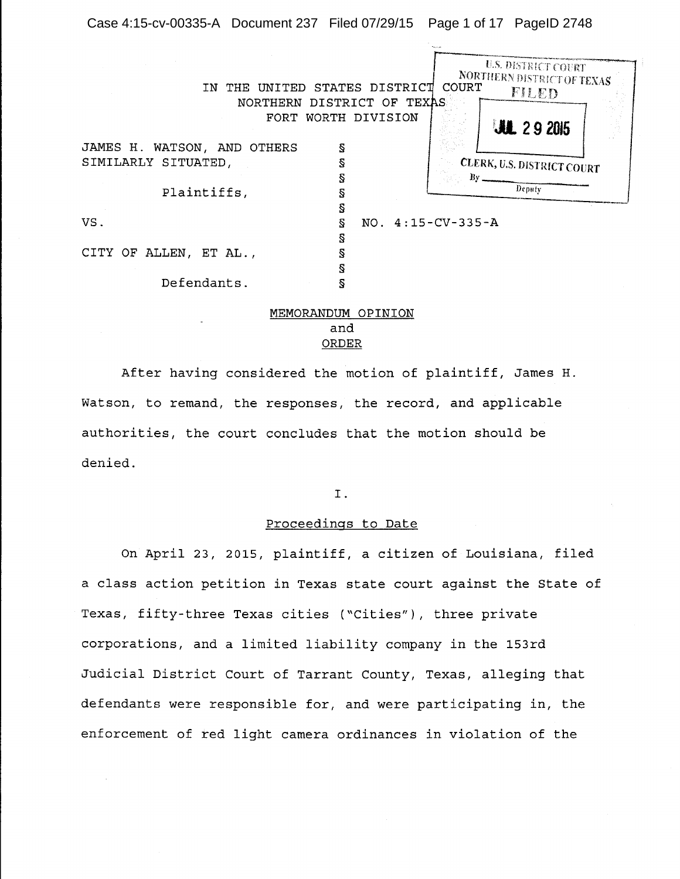Case 4:15-cv-00335-A Document 237 Filed 07/29/15 Page 1 of 17 PageID 2748

| THE UNITED STATES DISTRICT<br>TN. |   |                     | COURT | <b>U.S. DISTRICT COURT</b><br>NORTHERN DISTRICT OF TEXAS<br>FILED |  |
|-----------------------------------|---|---------------------|-------|-------------------------------------------------------------------|--|
| <b>NORTHERN</b>                   |   | DISTRICT OF TEXAS   |       |                                                                   |  |
|                                   |   | FORT WORTH DIVISION |       | <b>JUL 29 2015</b>                                                |  |
| JAMES H. WATSON, AND OTHERS       | S |                     |       |                                                                   |  |
| SIMILARLY SITUATED,               |   |                     |       | CLERK, U.S. DISTRICT COURT                                        |  |
|                                   |   |                     | Bv    |                                                                   |  |
| Plaintiffs,                       |   |                     |       | Deputy                                                            |  |
|                                   |   |                     |       |                                                                   |  |
| VS.                               |   | $NO. 4:15-CV-335-A$ |       |                                                                   |  |
|                                   | 5 |                     |       |                                                                   |  |
| CITY OF ALLEN, ET AL.,            |   |                     |       |                                                                   |  |
|                                   |   |                     |       |                                                                   |  |
| Defendants.                       |   |                     |       |                                                                   |  |

## MEMORANDUM OPINION and ORDER

After having considered the motion of plaintiff, James H. Watson, to remand, the responses, the record, and applicable authorities, the court concludes that the motion should be denied.

I.

# Proceedings to Date

On April 23, 2015, plaintiff, a citizen of Louisiana, filed a class action petition in Texas state court against the State of Texas, fifty-three Texas cities ("Cities"), three private corporations, and a limited liability company in the 153rd Judicial District Court of Tarrant County, Texas, alleging that defendants were responsible for, and were participating in, the enforcement of red light camera ordinances in violation of the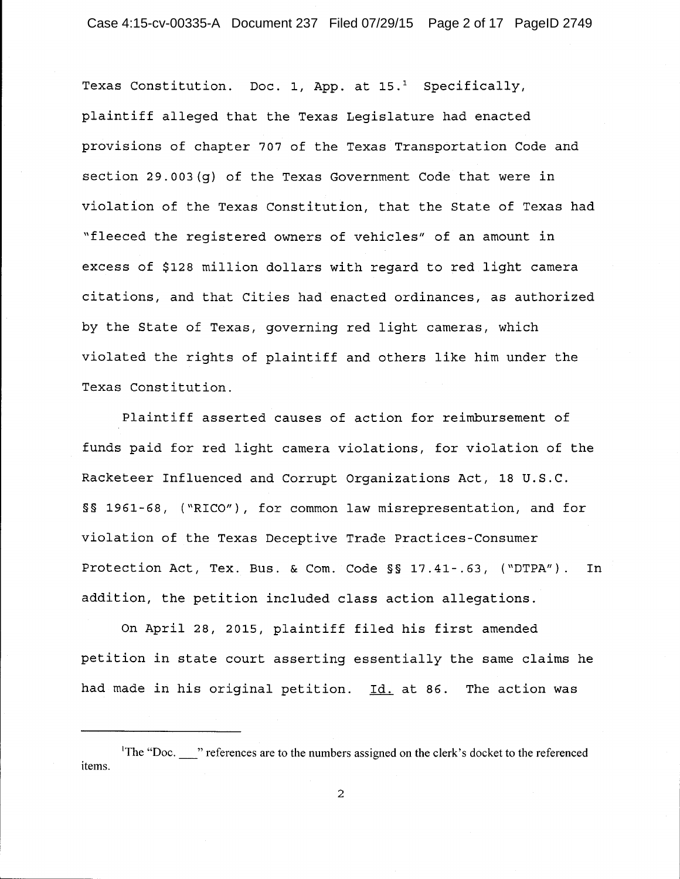Texas Constitution. Doc. 1, App. at  $15.^1$  Specifically, plaintiff alleged that the Texas Legislature had enacted provisions of chapter 707 of the Texas Transportation Code and section 29.003(g) of the Texas Government Code that were in violation of the Texas Constitution, that the State of Texas had "fleeced the registered owners of vehicles" of an amount in excess of \$128 million dollars with regard to red light camera citations, and that Cities had enacted ordinances, as authorized by the State of Texas, governing red light cameras, which violated the rights of plaintiff and others like him under the Texas Constitution.

Plaintiff asserted causes of action for reimbursement of funds paid for red light camera violations, for violation of the Racketeer Influenced and Corrupt Organizations Act, 18 U.S.C. §§ 1961-68, ("RICO"), for common law misrepresentation, and for violation of the Texas Deceptive Trade Practices-Consumer Protection Act, Tex. Bus. & Com. Code §§ 17.41-.63, ("DTPA"). In addition, the petition included class action allegations.

On April 28, 2015, plaintiff filed his first amended petition in state court asserting essentially the same claims he had made in his original petition. Id. at 86. The action was

<sup>1</sup>The "Doc.  $\blacksquare$ " references are to the numbers assigned on the clerk's docket to the referenced items.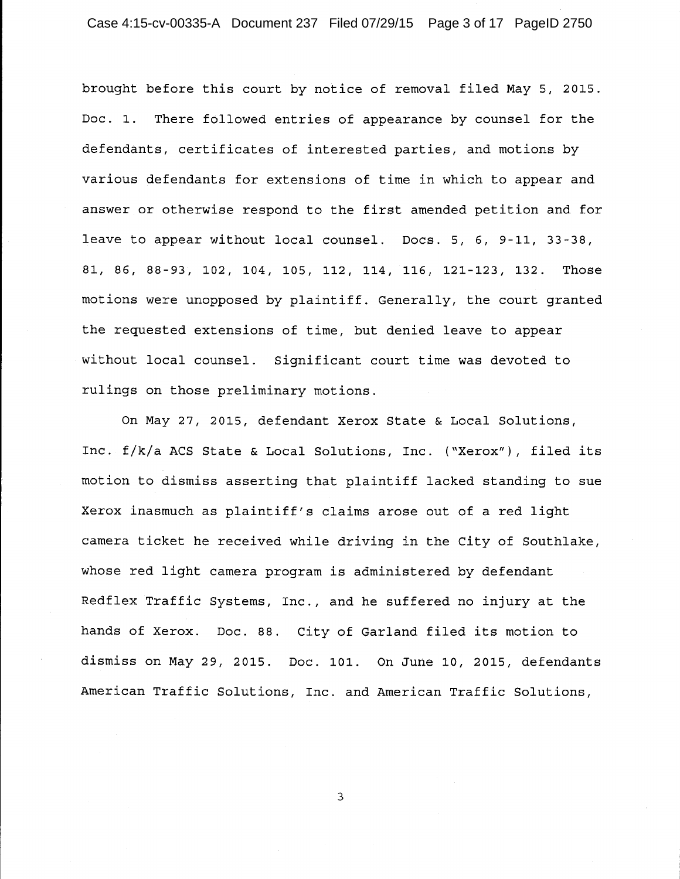brought before this court by notice of removal filed May 5, 2015. Doc. 1. There followed entries of appearance by counsel for the defendants, certificates of interested parties, and motions by various defendants for extensions of time in which to appear and answer or otherwise respond to the first amended petition and for leave to appear without local counsel. Docs. 5, 6, 9-11, 33-38, 81, 86, 88-93, 102, 104, 105, 112, 114, 116, 121-123, 132. Those motions were unopposed by plaintiff. Generally, the court granted the requested extensions of time, but denied leave to appear without local counsel. Significant court time was devoted to rulings on those preliminary motions.

On May 27, 2015, defendant Xerox State & Local Solutions, Inc. f/k/a ACS State & Local Solutions, Inc. ("Xerox"), filed its motion to dismiss asserting that plaintiff lacked standing to sue Xerox inasmuch as plaintiff's claims arose out of a red light camera ticket he received while driving in the City of Southlake, whose red light camera program is administered by defendant Redflex Traffic Systems, Inc., and he suffered no injury at the hands of Xerox. Doc. 88. City of Garland filed its motion to dismiss on May 29, 2015. Doc. 101. On June 10, 2015, defendants American Traffic Solutions, Inc. and American Traffic Solutions,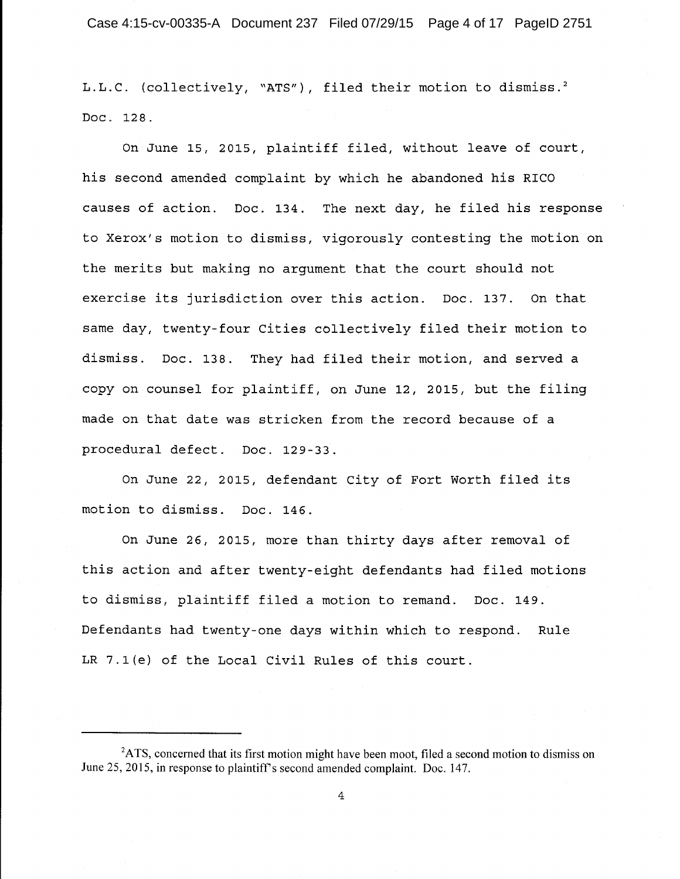L.L.C. (collectively, "ATS"), filed their motion to dismiss.<sup>2</sup> Doc. 128.

On June 15, 2015, plaintiff filed, without leave of court, his second amended complaint by which he abandoned his RICO causes of action. Doc. 134. The next day, he filed his response to Xerox's motion to dismiss, vigorously contesting the motion on the merits but making no argument that the court should not exercise its jurisdiction over this action. Doc. 137. On that same day, twenty-four Cities collectively filed their motion to dismiss. Doc. 138. They had filed their motion, and served a copy on counsel for plaintiff, on June 12, 2015, but the filing made on that date was stricken from the record because of a procedural defect. Doc. 129-33.

On June 22, 2015, defendant City of Fort Worth filed its motion to dismiss. Doc. 146.

On June 26, 2015, more than thirty days after removal of this action and after twenty-eight defendants had filed motions to dismiss, plaintiff filed a motion to remand. Doc. 149. Defendants had twenty-one days within which to respond. Rule LR 7.1(e) of the Local Civil Rules of this court.

<sup>&</sup>lt;sup>2</sup>ATS, concerned that its first motion might have been moot, filed a second motion to dismiss on June 25, 2015, in response to plaintiff's second amended complaint. Doc. 147.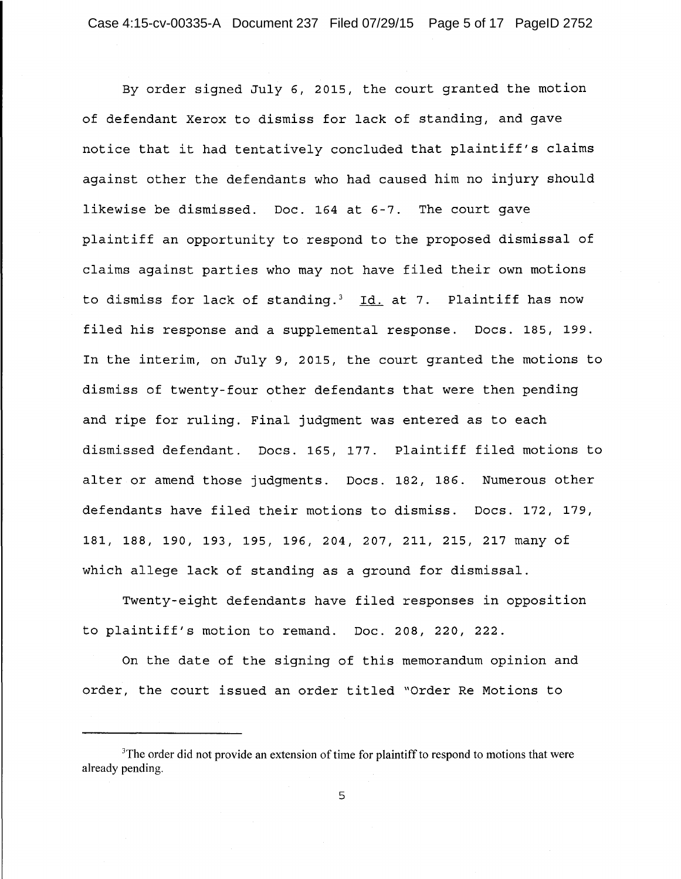By order signed July 6, 2015, the court granted the motion of defendant Xerox to dismiss for lack of standing, and gave notice that it had tentatively concluded that plaintiff's claims against other the defendants who had caused him no injury should likewise be dismissed. Doc. 164 at 6-7. The court gave plaintiff an opportunity to respond to the proposed dismissal of claims against parties who may not have filed their own motions to dismiss for lack of standing.<sup>3</sup> Id. at 7. Plaintiff has now filed his response and a supplemental response. Docs. 185, 199. In the interim, on July 9, 2015, the court granted the motions to dismiss of twenty-four other defendants that were then pending and ripe for ruling. Final judgment was entered as to each dismissed defendant. Docs. 165, 177. Plaintiff filed motions to alter or amend those judgments. Docs. 182, 186. Numerous other defendants have filed their motions to dismiss. Docs. 172, 179, 181, 188, 190, 193, 195, 196, 204, 207, 211, 215, 217 many of which allege lack of standing as a ground for dismissal.

Twenty-eight defendants have filed responses in opposition to plaintiff's motion to remand. Doc. 208, 220, 222.

On the date of the signing of this memorandum opinion and order, the court issued an order titled "Order Re Motions to

 $3$ The order did not provide an extension of time for plaintiff to respond to motions that were already pending.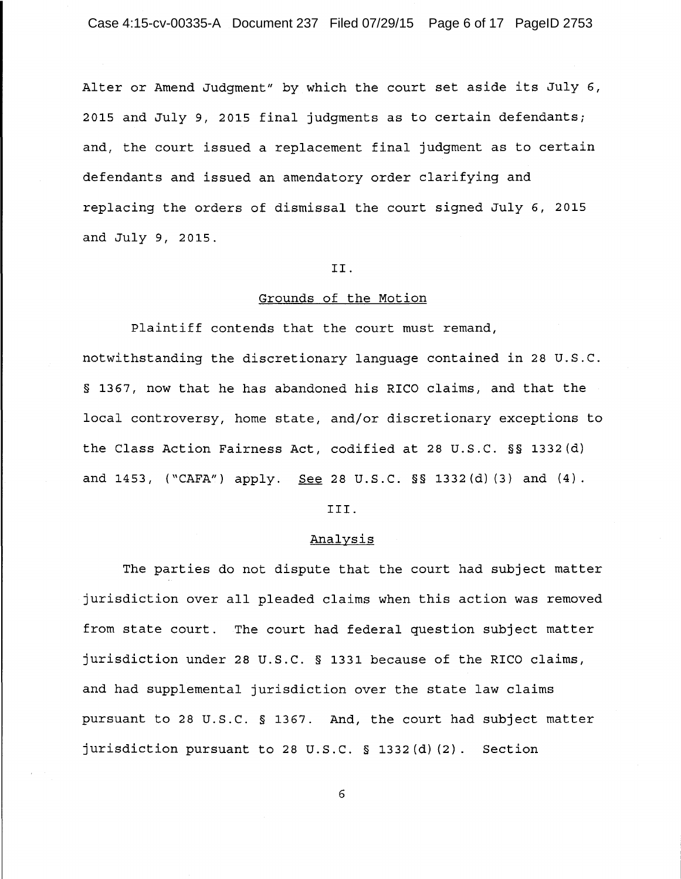Alter or Amend Judgment" by which the court set aside its July 6, 2015 and July 9, 2015 final judgments as to certain defendants; and, the court issued a replacement final judgment as to certain defendants and issued an amendatory order clarifying and replacing the orders of dismissal the court signed July 6, 2015 and July 9, 2015.

#### II.

### Grounds of the Motion

Plaintiff contends that the court must remand, notwithstanding the discretionary language contained in 28 U.S.C. § 1367, now that he has abandoned his RICO claims, and that the local controversy, home state, and/or discretionary exceptions to the Class Action Fairness Act, codified at 28 U.S.C. §§ 1332(d) and 1453, ("CAFA") apply. See 28 U.S.C. §§ 1332(d)(3) and (4).

#### III.

#### Analysis

The parties do not dispute that the court had subject matter jurisdiction over all pleaded claims when this action was removed from state court. The court had federal question subject matter jurisdiction under 28 U.S.C. § 1331 because of the RICO claims, and had supplemental jurisdiction over the state law claims pursuant to 28 U.S.C. § 1367. And, the court had subject matter jurisdiction pursuant to 28 u.s.c. § 1332 (d) (2). Section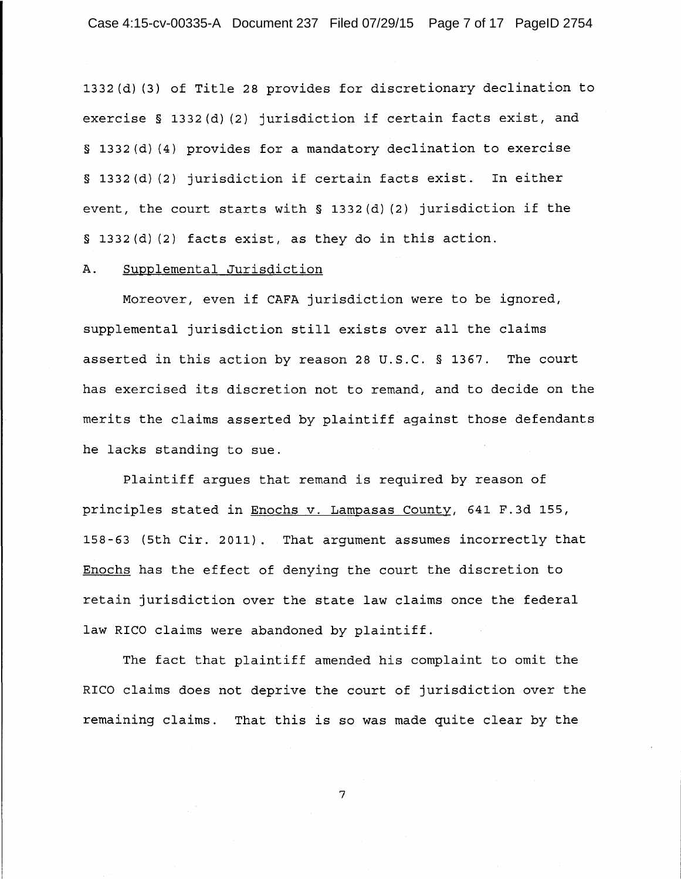1332(d) (3) of Title 28 provides for discretionary declination to exercise  $\S$  1332(d)(2) jurisdiction if certain facts exist, and § 1332(d) (4) provides for a mandatory declination to exercise § 1332(d) (2) jurisdiction if certain facts exist. In either event, the court starts with  $\S$  1332(d)(2) jurisdiction if the  $\S$  1332(d)(2) facts exist, as they do in this action.

## A. Supplemental Jurisdiction

Moreover, even if CAFA jurisdiction were to be ignored, supplemental jurisdiction still exists over all the claims asserted in this action by reason 28 U.S.C. § 1367. The court has exercised its discretion not to remand, and to decide on the merits the claims asserted by plaintiff against those defendants he lacks standing to sue.

Plaintiff argues that remand is required by reason of principles stated in Enochs v. Lampasas County, 641 F.3d 155, 158-63 (5th Cir. 2011). That argument assumes incorrectly that Enochs has the effect of denying the court the discretion to retain jurisdiction over the state law claims once the federal law RICO claims were abandoned by plaintiff.

The fact that plaintiff amended his complaint to omit the RICO claims does not deprive the court of jurisdiction over the remaining claims. That this is so was made quite clear by the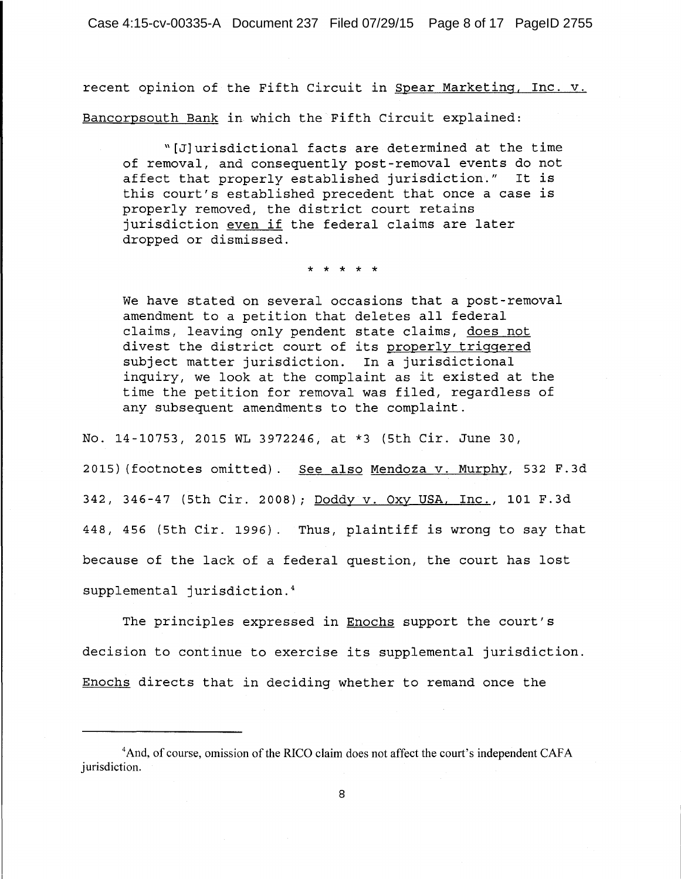Case 4:15-cv-00335-A Document 237 Filed 07/29/15 Page 8 of 17 PageID 2755

recent opinion of the Fifth Circuit in Spear Marketing, Inc. v. Bancorpsouth Bank in which the Fifth Circuit explained:

"[J]urisdictional facts are determined at the time of removal, and consequently post-removal events do not affect that properly established jurisdiction." It is this court's established precedent that once a case is properly removed, the district court retains jurisdiction even if the federal claims are later dropped or dismissed.

\* \* \* \* \*

We have stated on several occasions that a post-removal amendment to a petition that deletes all federal claims, leaving only pendent state claims, does not divest the district court of its properly triggered<br>subject matter jurisdiction. In a jurisdictional subject matter jurisdiction. inquiry, we look at the complaint as it existed at the time the petition for removal was filed, regardless of any subsequent amendments to the complaint.

No. 14-10753, 2015 WL 3972246, at \*3 (5th Cir. June 30, 2015) (footnotes omitted). See also Mendoza v. Murphy, 532 F.3d 342, 346-47 (5th Cir. 2008); Doddy v. Oxy USA, Inc., 101 F.3d 448, 456 (5th Cir. 1996). Thus, plaintiff is wrong to say that because of the lack of a federal question, the court has lost supplemental jurisdiction. <sup>4</sup>

The principles expressed in Enochs support the court's decision to continue to exercise its supplemental jurisdiction. Enochs directs that in deciding whether to remand once the

<sup>&</sup>lt;sup>4</sup> And, of course, omission of the RICO claim does not affect the court's independent CAFA jurisdiction.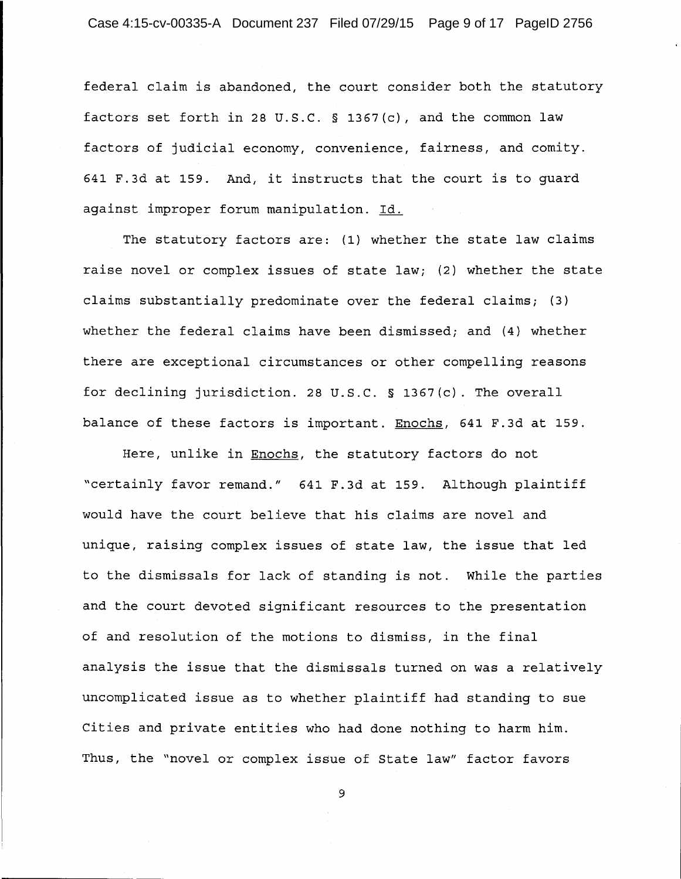federal claim is abandoned, the court consider both the statutory factors set forth in 28 U.S.C. § 1367(c), and the common law factors of judicial economy, convenience, fairness, and comity. 641 F.3d at 159. And, it instructs that the court is to guard against improper forum manipulation. Id.

The statutory factors are: (1) whether the state law claims raise novel or complex issues of state law; (2) whether the state claims substantially predominate over the federal claims; (3) whether the federal claims have been dismissed; and (4) whether there are exceptional circumstances or other compelling reasons for declining jurisdiction. 28 u.s.c. § 1367(c). The overall balance of these factors is important. Enochs, 641 F.3d at 159.

Here, unlike in Enochs, the statutory factors do not "certainly favor remand." 641 F.3d at 159. Although plaintiff would have the court believe that his claims are novel and unique, raising complex issues of state law, the issue that led to the dismissals for lack of standing is not. While the parties and the court devoted significant resources to the presentation of and resolution of the motions to dismiss, in the final analysis the issue that the dismissals turned on was a relatively uncomplicated issue as to whether plaintiff had standing to sue Cities and private entities who had done nothing to harm him. Thus, the "novel or complex issue of State law" factor favors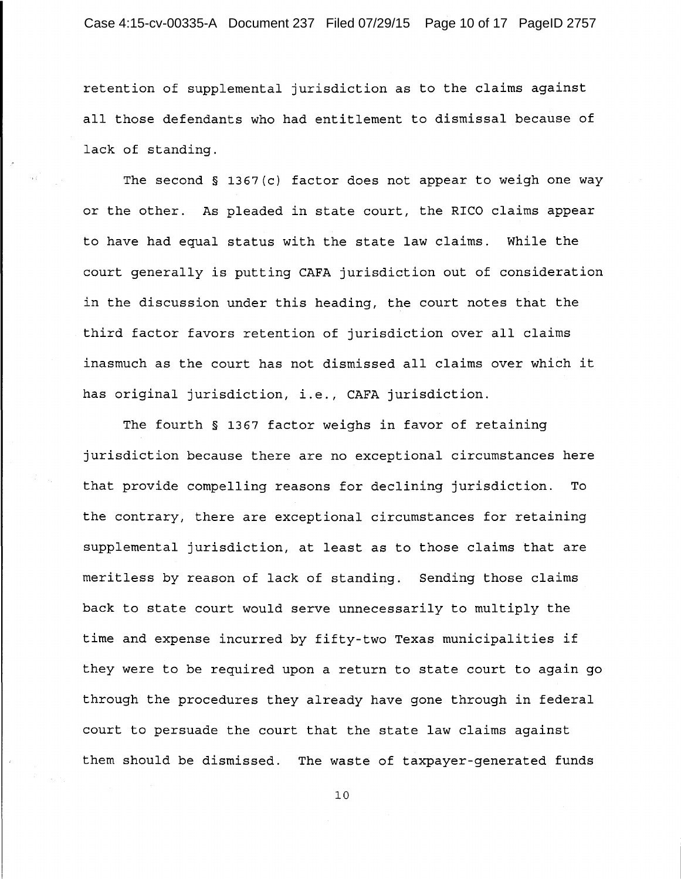retention of supplemental jurisdiction as to the claims against all those defendants who had entitlement to dismissal because of lack of standing.

The second § 1367(c) factor does not appear to weigh one way or the other. As pleaded in state court, the RICO claims appear to have had equal status with the state law claims. While the court generally is putting CAFA jurisdiction out of consideration in the discussion under this heading, the court notes that the third factor favors retention of jurisdiction over all claims inasmuch as the court has not dismissed all claims over which it has original jurisdiction, i.e., CAFA jurisdiction.

The fourth § 1367 factor weighs in favor of retaining jurisdiction because there are no exceptional circumstances here that provide compelling reasons for declining jurisdiction. To the contrary, there are exceptional circumstances for retaining supplemental jurisdiction, at least as to those claims that are meritless by reason of lack of standing. Sending those claims back to state court would serve unnecessarily to multiply the time and expense incurred by fifty-two Texas municipalities if they were to be required upon a return to state court to again go through the procedures they already have gone through in federal court to persuade the court that the state law claims against them should be dismissed. The waste of taxpayer-generated funds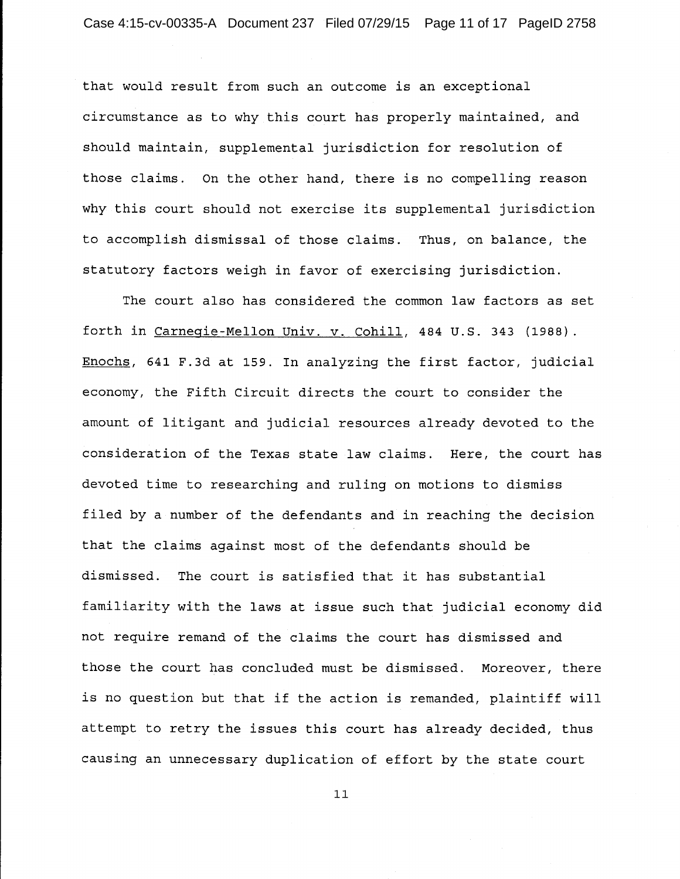that would result from such an outcome is an exceptional circumstance as to why this court has properly maintained, and should maintain, supplemental jurisdiction for resolution of those claims. On the other hand, there is no compelling reason why this court should not exercise its supplemental jurisdiction to accomplish dismissal of those claims. Thus, on balance, the statutory factors weigh in favor of exercising jurisdiction.

The court also has considered the common law factors as set forth in Carnegie-Mellon Univ. v. Cohill, 484 U.S. 343 (1988). Enochs, 641 F.3d at 159. In analyzing the first factor, judicial economy, the Fifth Circuit directs the court to consider the amount of litigant and judicial resources already devoted to the consideration of the Texas state law claims. Here, the court has devoted time to researching and ruling on motions to dismiss filed by a number of the defendants and in reaching the decision that the claims against most of the defendants should be dismissed. The court is satisfied that it has substantial familiarity with the laws at issue such that judicial economy did not require remand of the claims the court has dismissed and those the court has concluded must be dismissed. Moreover, there is no question but that if the action is remanded, plaintiff will attempt to retry the issues this court has already decided, thus causing an unnecessary duplication of effort by the state court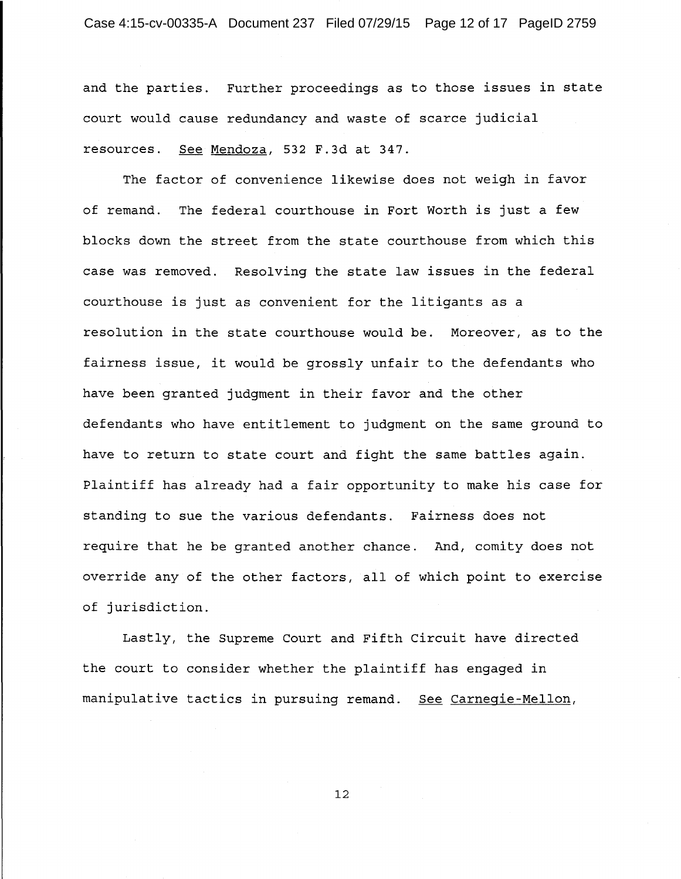and the parties. Further proceedings as to those issues in state court would cause redundancy and waste of scarce judicial resources. See Mendoza, 532 F.3d at 347.

The factor of convenience likewise does not weigh in favor of remand. The federal courthouse in Fort Worth is just a few blocks down the street from the state courthouse from which this case was removed. Resolving the state law issues in the federal courthouse is just as convenient for the litigants as a resolution in the state courthouse would be. Moreover, as to the fairness issue, it would be grossly unfair to the defendants who have been granted judgment in their favor and the other defendants who have entitlement to judgment on the same ground to have to return to state court and fight the same battles again. Plaintiff has already had a fair opportunity to make his case for standing to sue the various defendants. Fairness does not require that he be granted another chance. And, comity does not override any of the other factors, all of which point to exercise of jurisdiction.

Lastly, the Supreme Court and Fifth Circuit have directed the court to consider whether the plaintiff has engaged in manipulative tactics in pursuing remand. See Carnegie-Mellon,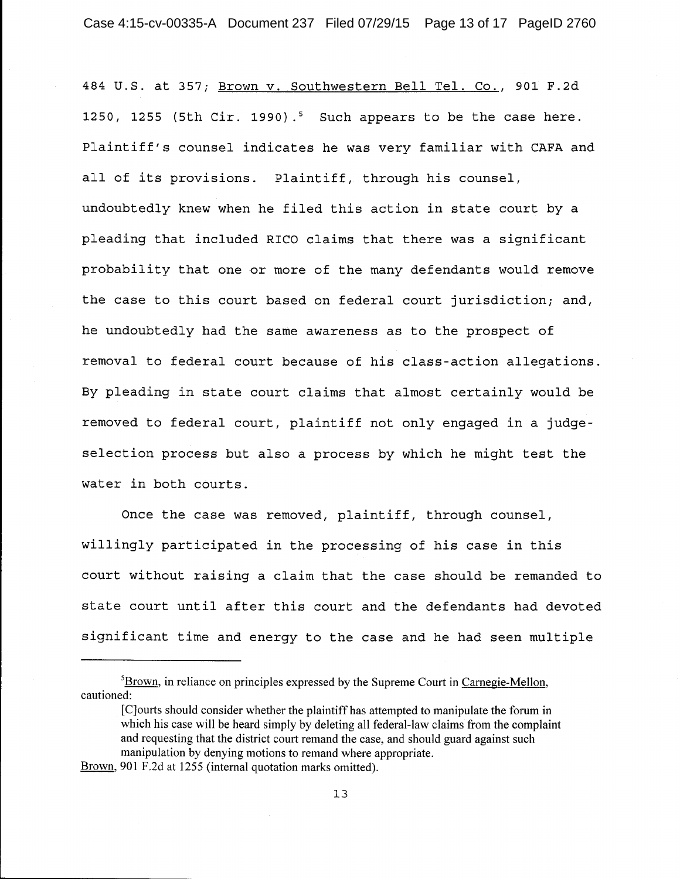Case 4:15-cv-00335-A Document 237 Filed 07/29/15 Page 13 of 17 PageID 2760

484 U.S. at 357; Brown v. Southwestern Bell Tel. Co., 901 F.2d 1250, 1255 (5th Cir. 1990).<sup>5</sup> Such appears to be the case here. Plaintiff's counsel indicates he was very familiar with CAFA and all of its provisions. Plaintiff, through his counsel, undoubtedly knew when he filed this action in state court by a pleading that included RICO claims that there was a significant probability that one or more of the many defendants would remove the case to this court based on federal court jurisdiction; and, he undoubtedly had the same awareness as to the prospect of removal to federal court because of his class-action allegations. By pleading in state court claims that almost certainly would be removed to federal court, plaintiff not only engaged in a judgeselection process but also a process by which he might test the water in both courts.

Once the case was removed, plaintiff, through counsel, willingly participated in the processing of his case in this court without raising a claim that the case should be remanded to state court until after this court and the defendants had devoted significant time and energy to the case and he had seen multiple

Brown, 901 F.2d at 1255 (internal quotation marks omitted).

<sup>&</sup>lt;sup>5</sup>Brown, in reliance on principles expressed by the Supreme Court in Carnegie-Mellon, cautioned:

<sup>[</sup>C]ourts should consider whether the plaintiff has attempted to manipulate the forum in which his case will be heard simply by deleting all federal-law claims from the complaint and requesting that the district court remand the case, and should guard against such manipulation by denying motions to remand where appropriate.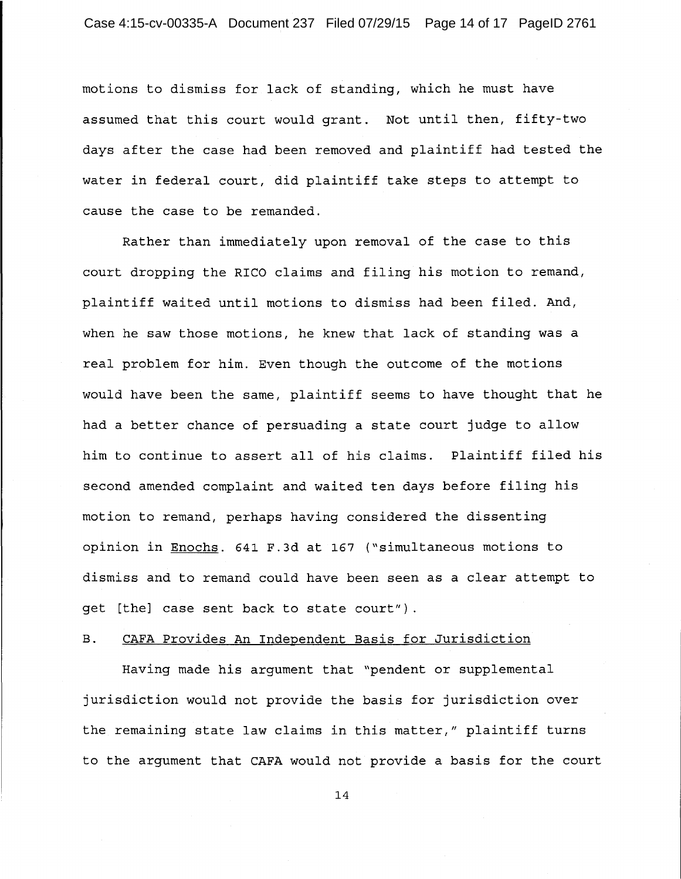motions to dismiss for lack of standing, which he must have assumed that this court would grant. Not until then, fifty-two days after the case had been removed and plaintiff had tested the water in federal court, did plaintiff take steps to attempt to cause the case to be remanded.

Rather than immediately upon removal of the case to this court dropping the RICO claims and filing his motion to remand, plaintiff waited until motions to dismiss had been filed. And, when he saw those motions, he knew that lack of standing was a real problem for him. Even though the outcome of the motions would have been the same, plaintiff seems to have thought that he had a better chance of persuading a state court judge to allow him to continue to assert all of his claims. Plaintiff filed his second amended complaint and waited ten days before filing his motion to remand, perhaps having considered the dissenting opinion in Enochs. 641 F.3d at 167 ("simultaneous motions to dismiss and to remand could have been seen as a clear attempt to get [the] case sent back to state court").

# B. CAFA Provides An Independent Basis for Jurisdiction

Having made his argument that "pendent or supplemental jurisdiction would not provide the basis for jurisdiction over the remaining state law claims in this matter," plaintiff turns to the argument that CAFA would not provide a basis for the court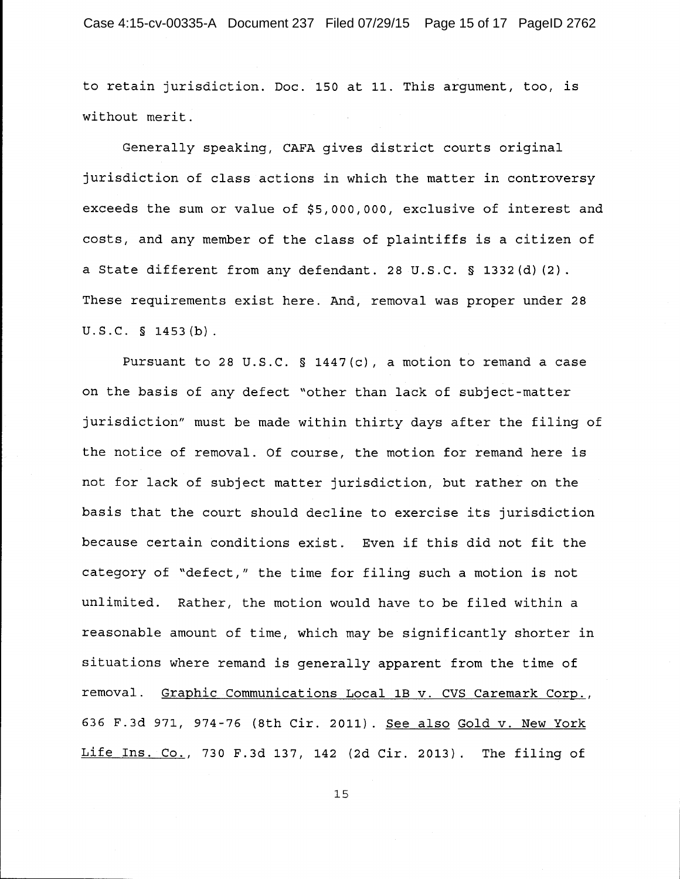Case 4:15-cv-00335-A Document 237 Filed 07/29/15 Page 15 of 17 PageID 2762

to retain jurisdiction. Doc. 150 at 11. This argument, too, is without merit.

Generally speaking, CAFA gives district courts original jurisdiction of class actions in which the matter in controversy exceeds the sum or value of \$5,000,000, exclusive of interest and costs, and any member of the class of plaintiffs is a citizen of a State different from any defendant. 28 U.S.C. § 1332(d)(2). These requirements exist here. And, removal was proper under 28 u.s.c. § 1453(b).

Pursuant to 28 U.S.C. § 1447(c), a motion to remand a case on the basis of any defect "other than lack of subject-matter jurisdiction" must be made within thirty days after the filing of the notice of removal. Of course, the motion for remand here is not for lack of subject matter jurisdiction, but rather on the basis that the court should decline to exercise its jurisdiction because certain conditions exist. Even if this did not fit the category of "defect," the time for filing such a motion is not unlimited. Rather, the motion would have to be filed within a reasonable amount of time, which may be significantly shorter in situations where remand is generally apparent from the time of removal. Graphic Communications Local 1B v. CVS Caremark Corp., 636 F.3d 971, 974-76 (8th Cir. 2011). See also Gold v. New York Life Ins. Co., 730 F.3d 137, 142 (2d Cir. 2013). The filing of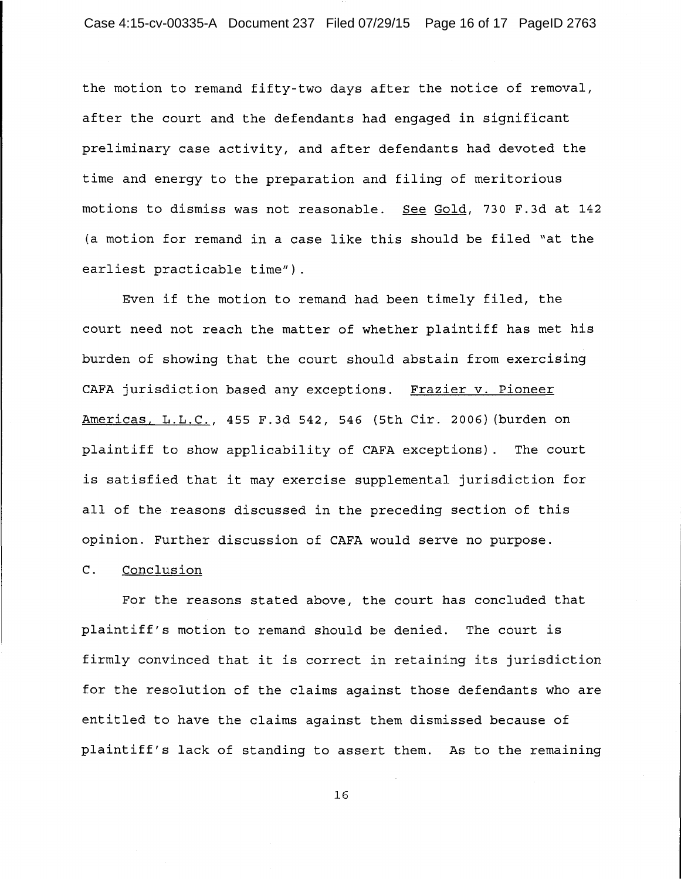the motion to remand fifty-two days after the notice of removal, after the court and the defendants had engaged in significant preliminary case activity, and after defendants had devoted the time and energy to the preparation and filing of meritorious motions to dismiss was not reasonable. See Gold, 730 F.3d at 142 (a motion for remand in a case like this should be filed "at the earliest practicable time").

Even if the motion to remand had been timely filed, the court need not reach the matter of whether plaintiff has met his burden of showing that the court should abstain from exercising CAFA jurisdiction based any exceptions. Frazier v. Pioneer Americas, L.L.C., 455 F.3d 542, 546 (5th Cir. 2006) (burden on plaintiff to show applicability of CAFA exceptions) . The court is satisfied that it may exercise supplemental jurisdiction for all of the reasons discussed in the preceding section of this opinion. Further discussion of CAFA would serve no purpose.

### C. Conclusion

For the reasons stated above, the court has concluded that plaintiff's motion to remand should be denied. The court is firmly convinced that it is correct in retaining its jurisdiction for the resolution of the claims against those defendants who are entitled to have the claims against them dismissed because of plaintiff's lack of standing to assert them. As to the remaining